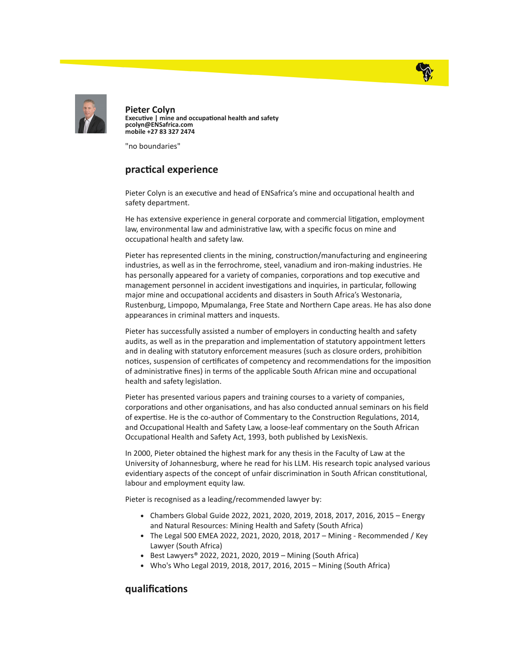



Pieter Colyn Executive | mine and occupational health and safety pcolyn@ENSafrica.com mobile +27 83 327 2474

"no boundaries"

## practical experience

Pieter Colyn is an executive and head of ENSafrica's mine and occupational health and safety department.

He has extensive experience in general corporate and commercial litigation, employment law, environmental law and administrative law, with a specific focus on mine and occupational health and safety law.

Pieter has represented clients in the mining, construction/manufacturing and engineering industries, as well as in the ferrochrome, steel, vanadium and iron-making industries. He has personally appeared for a variety of companies, corporations and top executive and management personnel in accident investigations and inquiries, in particular, following major mine and occupational accidents and disasters in South Africa's Westonaria, Rustenburg, Limpopo, Mpumalanga, Free State and Northern Cape areas. He has also done appearances in criminal matters and inquests.

Pieter has successfully assisted a number of employers in conducting health and safety audits, as well as in the preparation and implementation of statutory appointment letters and in dealing with statutory enforcement measures (such as closure orders, prohibition notices, suspension of certificates of competency and recommendations for the imposition of administrative fines) in terms of the applicable South African mine and occupational health and safety legislation.

Pieter has presented various papers and training courses to a variety of companies, corporations and other organisations, and has also conducted annual seminars on his field of expertise. He is the co-author of Commentary to the Construction Regulations, 2014, and Occupational Health and Safety Law, a loose-leaf commentary on the South African Occupational Health and Safety Act, 1993, both published by LexisNexis.

In 2000, Pieter obtained the highest mark for any thesis in the Faculty of Law at the University of Johannesburg, where he read for his LLM. His research topic analysed various evidentiary aspects of the concept of unfair discrimination in South African constitutional, labour and employment equity law.

Pieter is recognised as a leading/recommended lawyer by:

- Chambers Global Guide 2022, 2021, 2020, 2019, 2018, 2017, 2016, 2015 Energy and Natural Resources: Mining Health and Safety (South Africa)
- The Legal 500 EMEA 2022, 2021, 2020, 2018, 2017 Mining Recommended / Key Lawyer (South Africa)
- Best Lawyers® 2022, 2021, 2020, 2019 Mining (South Africa)
- Who's Who Legal 2019, 2018, 2017, 2016, 2015 Mining (South Africa)

## qualifications